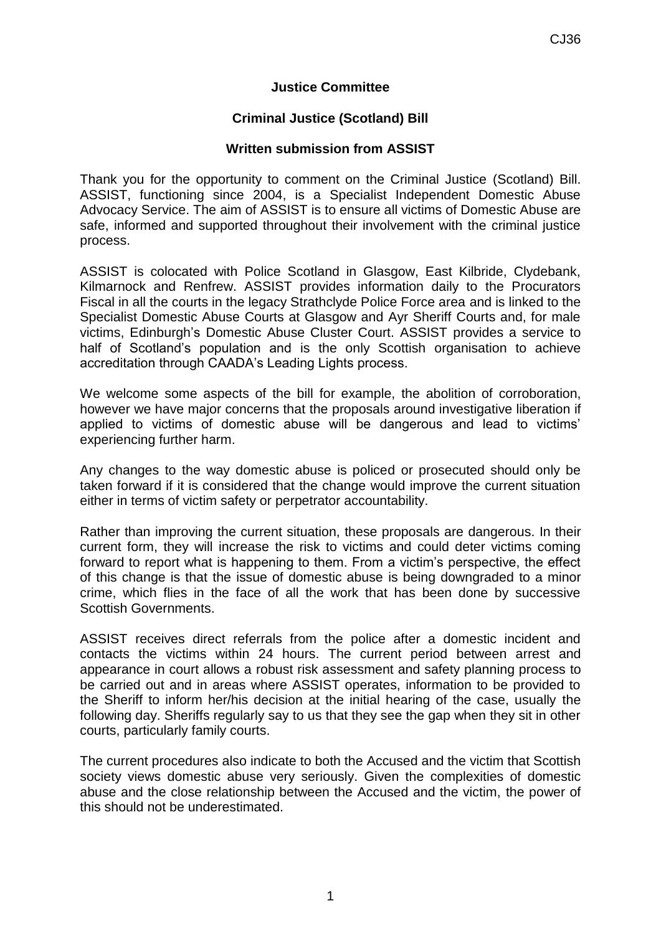## **Justice Committee**

## **Criminal Justice (Scotland) Bill**

## **Written submission from ASSIST**

Thank you for the opportunity to comment on the Criminal Justice (Scotland) Bill. ASSIST, functioning since 2004, is a Specialist Independent Domestic Abuse Advocacy Service. The aim of ASSIST is to ensure all victims of Domestic Abuse are safe, informed and supported throughout their involvement with the criminal justice process.

ASSIST is colocated with Police Scotland in Glasgow, East Kilbride, Clydebank, Kilmarnock and Renfrew. ASSIST provides information daily to the Procurators Fiscal in all the courts in the legacy Strathclyde Police Force area and is linked to the Specialist Domestic Abuse Courts at Glasgow and Ayr Sheriff Courts and, for male victims, Edinburgh's Domestic Abuse Cluster Court. ASSIST provides a service to half of Scotland's population and is the only Scottish organisation to achieve accreditation through CAADA's Leading Lights process.

We welcome some aspects of the bill for example, the abolition of corroboration, however we have major concerns that the proposals around investigative liberation if applied to victims of domestic abuse will be dangerous and lead to victims' experiencing further harm.

Any changes to the way domestic abuse is policed or prosecuted should only be taken forward if it is considered that the change would improve the current situation either in terms of victim safety or perpetrator accountability.

Rather than improving the current situation, these proposals are dangerous. In their current form, they will increase the risk to victims and could deter victims coming forward to report what is happening to them. From a victim's perspective, the effect of this change is that the issue of domestic abuse is being downgraded to a minor crime, which flies in the face of all the work that has been done by successive Scottish Governments.

ASSIST receives direct referrals from the police after a domestic incident and contacts the victims within 24 hours. The current period between arrest and appearance in court allows a robust risk assessment and safety planning process to be carried out and in areas where ASSIST operates, information to be provided to the Sheriff to inform her/his decision at the initial hearing of the case, usually the following day. Sheriffs regularly say to us that they see the gap when they sit in other courts, particularly family courts.

The current procedures also indicate to both the Accused and the victim that Scottish society views domestic abuse very seriously. Given the complexities of domestic abuse and the close relationship between the Accused and the victim, the power of this should not be underestimated.